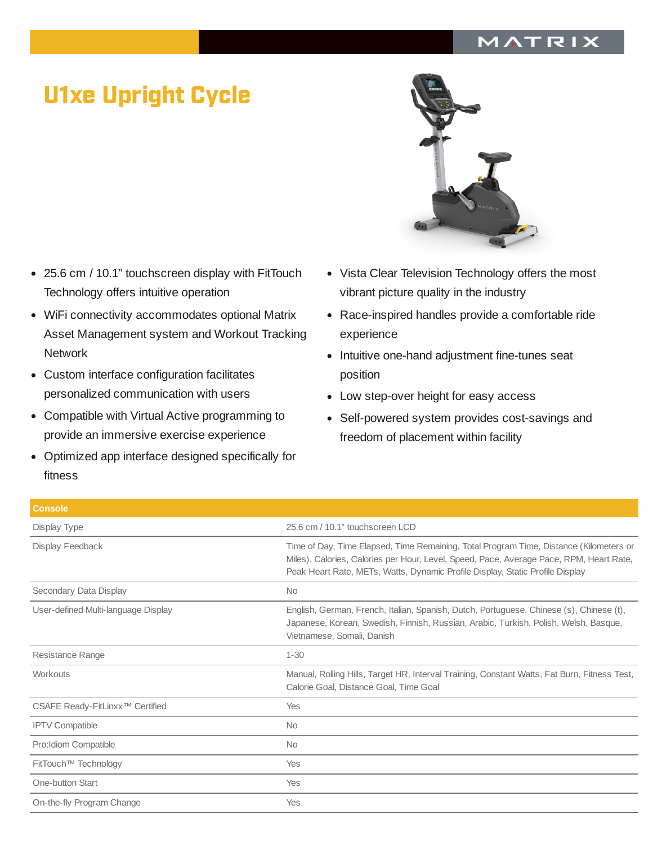## MATRIX

## U1xe Upright Cycle

- 25.6 cm / 10.1" touchscreen display with FitTouch Technology offers intuitive operation
- WiFi connectivity accommodates optional Matrix Asset Management system and Workout Tracking **Network**
- $\bullet$ Custom interface configuration facilitates personalized communication with users
- Compatible with Virtual Active programming to provide an immersive exercise experience
- Optimized app interface designed specifically for fitness



- Vista Clear Television Technology offers the most vibrant picture quality in the industry
- Race-inspired handles provide a comfortable ride experience
- Intuitive one-hand adjustment fine-tunes seat position
- Low step-over height for easy access
- Self-powered system provides cost-savings and  $\bullet$ freedom of placement within facility

| <b>Console</b>                              |                                                                                                                                                                                                                                                                    |
|---------------------------------------------|--------------------------------------------------------------------------------------------------------------------------------------------------------------------------------------------------------------------------------------------------------------------|
| Display Type                                | 25.6 cm / 10.1" touchscreen LCD                                                                                                                                                                                                                                    |
| Display Feedback                            | Time of Day, Time Elapsed, Time Remaining, Total Program Time, Distance (Kilometers or<br>Miles), Calories, Calories per Hour, Level, Speed, Pace, Average Pace, RPM, Heart Rate,<br>Peak Heart Rate, METs, Watts, Dynamic Profile Display, Static Profile Display |
| Secondary Data Display                      | <b>No</b>                                                                                                                                                                                                                                                          |
| User-defined Multi-language Display         | English, German, French, Italian, Spanish, Dutch, Portuguese, Chinese (s), Chinese (t),<br>Japanese, Korean, Swedish, Finnish, Russian, Arabic, Turkish, Polish, Welsh, Basque,<br>Vietnamese, Somali, Danish                                                      |
| Resistance Range                            | $1 - 30$                                                                                                                                                                                                                                                           |
| Workouts                                    | Manual, Rolling Hills, Target HR, Interval Training, Constant Watts, Fat Burn, Fitness Test,<br>Calorie Goal, Distance Goal, Time Goal                                                                                                                             |
| CSAFE Ready-FitLinxx <sup>™</sup> Certified | Yes                                                                                                                                                                                                                                                                |
| <b>IPTV Compatible</b>                      | <b>No</b>                                                                                                                                                                                                                                                          |
| Pro: Idiom Compatible                       | No                                                                                                                                                                                                                                                                 |
| FitTouch™ Technology                        | Yes                                                                                                                                                                                                                                                                |
| One-button Start                            | Yes                                                                                                                                                                                                                                                                |
| On-the-fly Program Change                   | Yes                                                                                                                                                                                                                                                                |